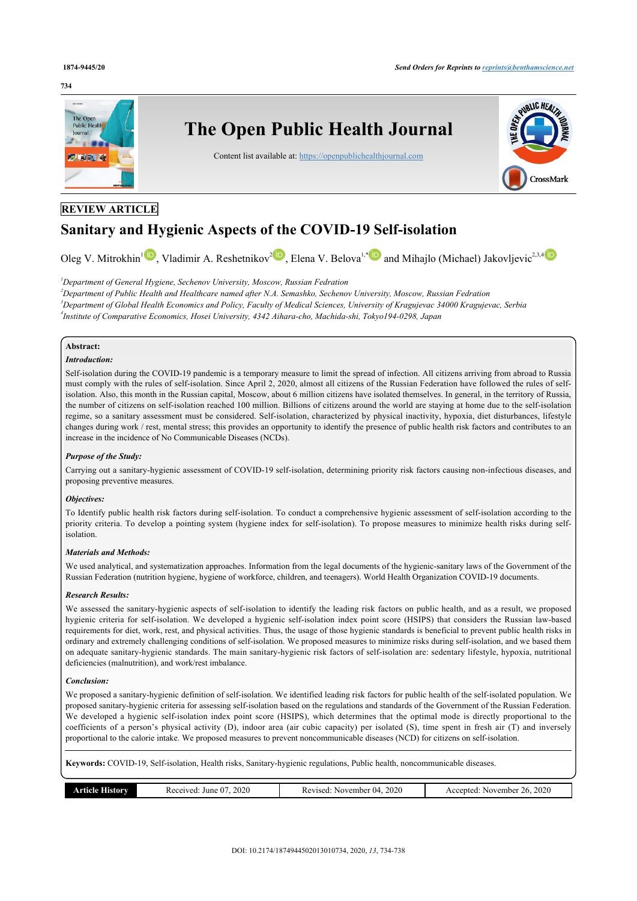#### **734**



# **REVIEW ARTICLE**

# **Sanitary and Hygienic Aspects of the COVID-19 Self-isolation**

Oleg V. Mitrokhin<sup>[1](#page-0-0)</sup> , Vladimir A. Reshetnikov<sup>[2](#page-0-1)</sup> [,](http://orcid.org/0000-0002-7853-7356) Elena V. Belova<sup>1,[\\*](#page-1-0)</sup> and Mihajlo (Michael) Jakovljevic<sup>2,[3](#page--1-0),[4](#page-0-2)</sup>

<span id="page-0-1"></span><span id="page-0-0"></span>*<sup>1</sup>Department of General Hygiene, Sechenov University, Moscow, Russian Fedration*

<span id="page-0-2"></span>*<sup>2</sup>Department of Public Health and Healthcare named after N.A. Semashko, Sechenov University, Moscow, Russian Fedration <sup>3</sup>Department of Global Health Economics and Policy, Faculty of Medical Sciences, University of Kragujevac 34000 Kragujevac, Serbia 4 Institute of Comparative Economics, Hosei University, 4342 Aihara-cho, Machida-shi, Tokyo194-0298, Japan*

# **Abstract:**

#### *Introduction:*

Self-isolation during the COVID-19 pandemic is a temporary measure to limit the spread of infection. All citizens arriving from abroad to Russia must comply with the rules of self-isolation. Since April 2, 2020, almost all citizens of the Russian Federation have followed the rules of selfisolation. Also, this month in the Russian capital, Moscow, about 6 million citizens have isolated themselves. In general, in the territory of Russia, the number of citizens on self-isolation reached 100 million. Billions of citizens around the world are staying at home due to the self-isolation regime, so a sanitary assessment must be considered. Self-isolation, characterized by physical inactivity, hypoxia, diet disturbances, lifestyle changes during work / rest, mental stress; this provides an opportunity to identify the presence of public health risk factors and contributes to an increase in the incidence of No Communicable Diseases (NCDs).

#### *Purpose of the Study:*

Carrying out a sanitary-hygienic assessment of COVID-19 self-isolation, determining priority risk factors causing non-infectious diseases, and proposing preventive measures.

#### *Objectives:*

To Identify public health risk factors during self-isolation. To conduct a comprehensive hygienic assessment of self-isolation according to the priority criteria. To develop a pointing system (hygiene index for self-isolation). To propose measures to minimize health risks during selfisolation.

#### *Materials and Methods:*

We used analytical, and systematization approaches. Information from the legal documents of the hygienic-sanitary laws of the Government of the Russian Federation (nutrition hygiene, hygiene of workforce, children, and teenagers). World Health Organization COVID-19 documents.

#### *Research Results:*

We assessed the sanitary-hygienic aspects of self-isolation to identify the leading risk factors on public health, and as a result, we proposed hygienic criteria for self-isolation. We developed a hygienic self-isolation index point score (HSIPS) that considers the Russian law-based requirements for diet, work, rest, and physical activities. Thus, the usage of those hygienic standards is beneficial to prevent public health risks in ordinary and extremely challenging conditions of self-isolation. We proposed measures to minimize risks during self-isolation, and we based them on adequate sanitary-hygienic standards. The main sanitary-hygienic risk factors of self-isolation are: sedentary lifestyle, hypoxia, nutritional deficiencies (malnutrition), and work/rest imbalance.

#### *Conclusion:*

We proposed a sanitary-hygienic definition of self-isolation. We identified leading risk factors for public health of the self-isolated population. We proposed sanitary-hygienic criteria for assessing self-isolation based on the regulations and standards of the Government of the Russian Federation. We developed a hygienic self-isolation index point score (HSIPS), which determines that the optimal mode is directly proportional to the coefficients of a person's physical activity (D), indoor area (air cubic capacity) per isolated (S), time spent in fresh air (T) and inversely proportional to the calorie intake. We proposed measures to prevent noncommunicable diseases (NCD) for citizens on self-isolation.

**Keywords:** COVID-19, Self-isolation, Health risks, Sanitary-hygienic regulations, Public health, noncommunicable diseases.

|  | <b>Article History</b> | 2020<br>Received.<br>June<br>$\mathbf{U}$ | .2020<br>November 04.<br>Revised: | 2020<br>26.<br>Accepted:<br>November |
|--|------------------------|-------------------------------------------|-----------------------------------|--------------------------------------|
|--|------------------------|-------------------------------------------|-----------------------------------|--------------------------------------|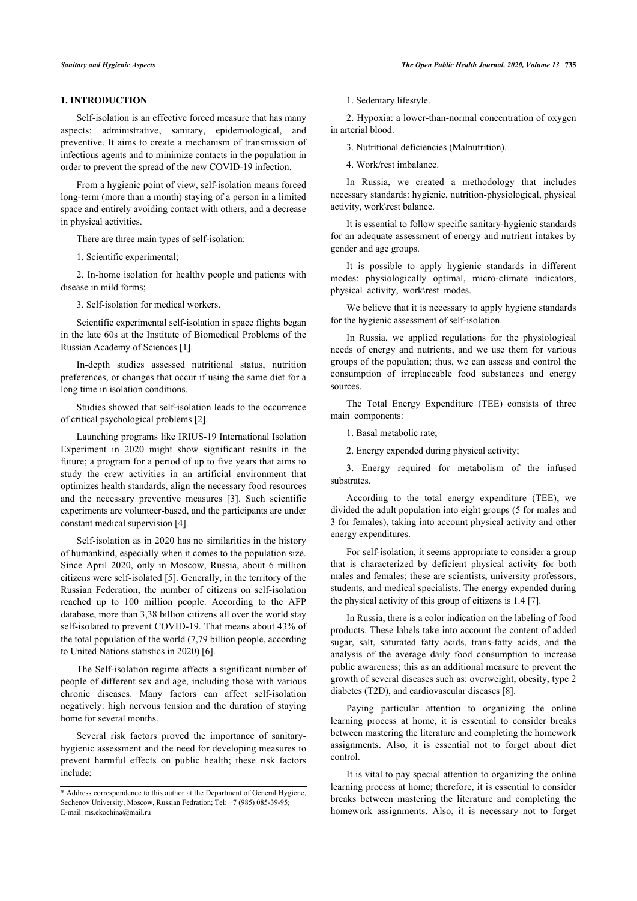### **1. INTRODUCTION**

Self-isolation is an effective forced measure that has many aspects: administrative, sanitary, epidemiological, and preventive. It aims to create a mechanism of transmission of infectious agents and to minimize contacts in the population in order to prevent the spread of the new COVID-19 infection.

From a hygienic point of view, self-isolation means forced long-term (more than a month) staying of a person in a limited space and entirely avoiding contact with others, and a decrease in physical activities.

There are three main types of self-isolation:

1. Scientific experimental;

2. In-home isolation for healthy people and patients with disease in mild forms;

3. Self-isolation for medical workers.

Scientific experimental self-isolation in space flights began in the late 60s at the Institute of Biomedical Problems of the Russian Academy of Sciences [1].

In-depth studies assessed nutritional status, nutrition preferences, or changes that occur if using the same diet for a long time in isolation conditions.

Studies showed that self-isolation leads to the occurrence of critical psychological problems [2].

Launching programs like IRIUS-19 International Isolation Experiment in 2020 might show significant results in the future; a program for a period of up to five years that aims to study the crew activities in an artificial environment that optimizes health standards, align the necessary food resources and the necessary preventive measures [3]. Such scientific experiments are volunteer-based, and the participants are under constant medical supervision [4].

Self-isolation as in 2020 has no similarities in the history of humankind, especially when it comes to the population size. Since April 2020, only in Moscow, Russia, about 6 million citizens were self-isolated [5]. Generally, in the territory of the Russian Federation, the number of citizens on self-isolation reached up to 100 million people. According to the AFP database, more than 3,38 billion citizens all over the world stay self-isolated to prevent COVID-19. That means about 43% of the total population of the world (7,79 billion people, according to United Nations statistics in 2020) [6].

The Self-isolation regime affects a significant number of people of different sex and age, including those with various chronic diseases. Many factors can affect self-isolation negatively: high nervous tension and the duration of staying home for several months.

Several risk factors proved the importance of sanitaryhygienic assessment and the need for developing measures to prevent harmful effects on public health; these risk factors include:

1. Sedentary lifestyle.

2. Hypoxia: a lower-than-normal concentration of oxygen in arterial blood.

3. Nutritional deficiencies (Malnutrition).

4. Work/rest imbalance.

In Russia, we created a methodology that includes necessary standards: hygienic, nutrition-physiological, physical activity, work\rest balance.

It is essential to follow specific sanitary-hygienic standards for an adequate assessment of energy and nutrient intakes by gender and age groups.

It is possible to apply hygienic standards in different modes: physiologically optimal, micro-climate indicators, physical activity, work\rest modes.

We believe that it is necessary to apply hygiene standards for the hygienic assessment of self-isolation.

In Russia, we applied regulations for the physiological needs of energy and nutrients, and we use them for various groups of the population; thus, we can assess and control the consumption of irreplaceable food substances and energy sources.

The Total Energy Expenditure (TEE) consists of three main components:

1. Basal metabolic rate;

2. Energy expended during physical activity;

3. Energy required for metabolism of the infused substrates.

According to the total energy expenditure (TEE), we divided the adult population into eight groups (5 for males and 3 for females), taking into account physical activity and other energy expenditures.

For self-isolation, it seems appropriate to consider a group that is characterized by deficient physical activity for both males and females; these are scientists, university professors, students, and medical specialists. The energy expended during the physical activity of this group of citizens is 1.4 [7].

In Russia, there is a color indication on the labeling of food products. These labels take into account the content of added sugar, salt, saturated fatty acids, trans-fatty acids, and the analysis of the average daily food consumption to increase public awareness; this as an additional measure to prevent the growth of several diseases such as: overweight, obesity, type 2 diabetes (T2D), and cardiovascular diseases [8].

Paying particular attention to organizing the online learning process at home, it is essential to consider breaks between mastering the literature and completing the homework assignments. Also, it is essential not to forget about diet control.

It is vital to pay special attention to organizing the online learning process at home; therefore, it is essential to consider breaks between mastering the literature and completing the homework assignments. Also, it is necessary not to forget

<span id="page-1-0"></span><sup>\*</sup> Address correspondence to this author at the Department of General Hygiene, Sechenov University, Moscow, Russian Fedration; Tel: +7 (985) 085-39-95; E-mail: [ms.ekochina@mail.ru](mailto:ms.ekochina@mail.ru)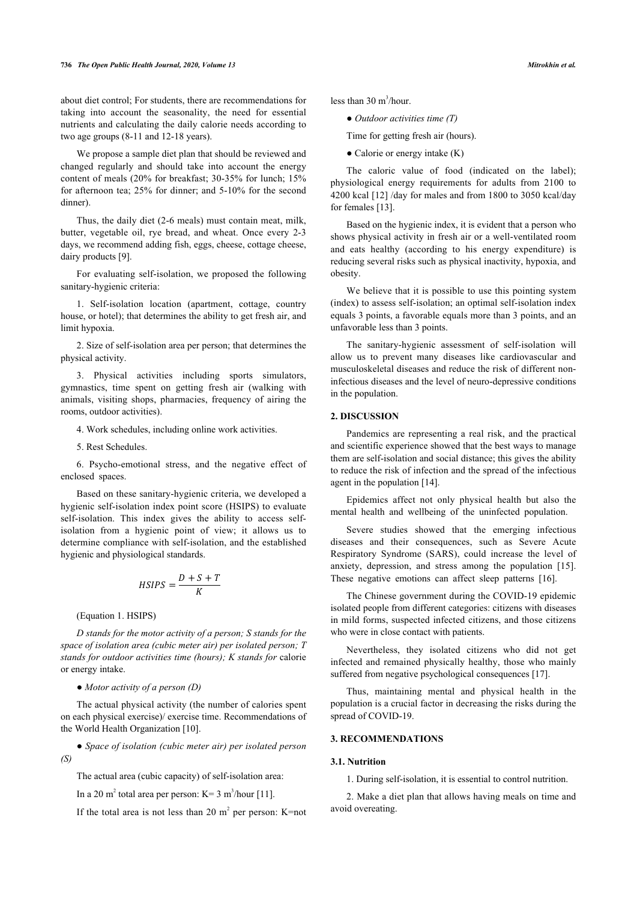about diet control; For students, there are recommendations for taking into account the seasonality, the need for essential nutrients and calculating the daily calorie needs according to two age groups (8-11 and 12-18 years).

We propose a sample diet plan that should be reviewed and changed regularly and should take into account the energy content of meals (20% for breakfast; 30-35% for lunch; 15% for afternoon tea; 25% for dinner; and 5-10% for the second dinner).

Thus, the daily diet (2-6 meals) must contain meat, milk, butter, vegetable oil, rye bread, and wheat. Once every 2-3 days, we recommend adding fish, eggs, cheese, cottage cheese, dairy products [9].

For evaluating self-isolation, we proposed the following sanitary-hygienic criteria:

1. Self-isolation location (apartment, cottage, country house, or hotel); that determines the ability to get fresh air, and limit hypoxia.

2. Size of self-isolation area per person; that determines the physical activity.

3. Physical activities including sports simulators, gymnastics, time spent on getting fresh air (walking with animals, visiting shops, pharmacies, frequency of airing the rooms, outdoor activities).

4. Work schedules, including online work activities.

5. Rest Schedules.

6. Psycho-emotional stress, and the negative effect of enclosed spaces.

Based on these sanitary-hygienic criteria, we developed a hygienic self-isolation index point score (HSIPS) to evaluate self-isolation. This index gives the ability to access selfisolation from a hygienic point of view; it allows us to determine compliance with self-isolation, and the established hygienic and physiological standards.

$$
HSIPS = \frac{D + S + T}{K}
$$

(Equation 1. HSIPS)

*D stands for the motor activity of a person; S stands for the space of isolation area (cubic meter air) per isolated person; T stands for outdoor activities time (hours); K stands for* calorie or energy intake.

#### ● *Motor activity of a person (D)*

The actual physical activity (the number of calories spent on each physical exercise)/ exercise time. Recommendations of the World Health Organization [[10\]](#page-4-0).

● *Space of isolation (cubic meter air) per isolated person (S)*

The actual area (cubic capacity) of self-isolation area:

In a 20 m<sup>2</sup> total area per person: K= 3 m<sup>3</sup>/hour [[11\]](#page-4-1).

If the total area is not less than 20  $m^2$  per person: K=not

less than  $30 \text{ m}^3$ /hour.

● *Outdoor activities time (T)*

Time for getting fresh air (hours).

 $\bullet$  Calorie or energy intake  $(K)$ 

The caloric value of food (indicated on the label); physiological energy requirements for adults from 2100 to 4200 kcal [[12\]](#page-4-2) /day for males and from 1800 to 3050 kcal/day for females [[13\]](#page-4-3).

Based on the hygienic index, it is evident that a person who shows physical activity in fresh air or a well-ventilated room and eats healthy (according to his energy expenditure) is reducing several risks such as physical inactivity, hypoxia, and obesity.

We believe that it is possible to use this pointing system (index) to assess self-isolation; an optimal self-isolation index equals 3 points, a favorable equals more than 3 points, and an unfavorable less than 3 points.

The sanitary-hygienic assessment of self-isolation will allow us to prevent many diseases like cardiovascular and musculoskeletal diseases and reduce the risk of different noninfectious diseases and the level of neuro-depressive conditions in the population.

#### **2. DISCUSSION**

Pandemics are representing a real risk, and the practical and scientific experience showed that the best ways to manage them are self-isolation and social distance; this gives the ability to reduce the risk of infection and the spread of the infectious agent in the population [[14\]](#page-4-4).

Epidemics affect not only physical health but also the mental health and wellbeing of the uninfected population.

Severe studies showed that the emerging infectious diseases and their consequences, such as Severe Acute Respiratory Syndrome (SARS), could increase the level of anxiety, depression, and stress among the population[[15](#page-4-5)]. Thesenegative emotions can affect sleep patterns [[16\]](#page-4-6).

The Chinese government during the COVID-19 epidemic isolated people from different categories: citizens with diseases in mild forms, suspected infected citizens, and those citizens who were in close contact with patients.

Nevertheless, they isolated citizens who did not get infected and remained physically healthy, those who mainly suffered from negative psychological consequences [\[17](#page-4-7)].

Thus, maintaining mental and physical health in the population is a crucial factor in decreasing the risks during the spread of COVID-19.

#### **3. RECOMMENDATIONS**

#### **3.1. Nutrition**

1. During self-isolation, it is essential to control nutrition.

2. Make a diet plan that allows having meals on time and avoid overeating.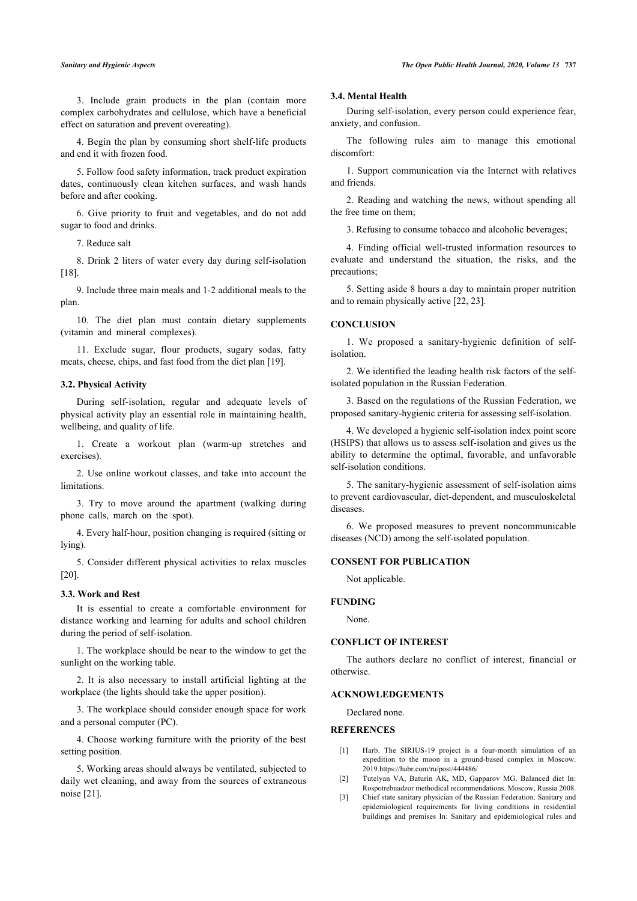3. Include grain products in the plan (contain more complex carbohydrates and cellulose, which have a beneficial effect on saturation and prevent overeating).

4. Begin the plan by consuming short shelf-life products and end it with frozen food.

5. Follow food safety information, track product expiration dates, continuously clean kitchen surfaces, and wash hands before and after cooking.

6. Give priority to fruit and vegetables, and do not add sugar to food and drinks.

7. Reduce salt

8. Drink 2 liters of water every day during self-isolation [[18\]](#page-4-8).

9. Include three main meals and 1-2 additional meals to the plan.

10. The diet plan must contain dietary supplements (vitamin and mineral complexes).

11. Exclude sugar, flour products, sugary sodas, fatty meats, cheese, chips, and fast food from the diet plan [[19\]](#page-4-9).

#### **3.2. Physical Activity**

During self-isolation, regular and adequate levels of physical activity play an essential role in maintaining health, wellbeing, and quality of life.

1. Create a workout plan (warm-up stretches and exercises).

2. Use online workout classes, and take into account the limitations.

3. Try to move around the apartment (walking during phone calls, march on the spot).

4. Every half-hour, position changing is required (sitting or lying).

5. Consider different physical activities to relax muscles [[20\]](#page-4-10).

#### **3.3. Work and Rest**

It is essential to create a comfortable environment for distance working and learning for adults and school children during the period of self-isolation.

1. The workplace should be near to the window to get the sunlight on the working table.

2. It is also necessary to install artificial lighting at the workplace (the lights should take the upper position).

3. The workplace should consider enough space for work and a personal computer (PC).

4. Choose working furniture with the priority of the best setting position.

5. Working areas should always be ventilated, subjected to daily wet cleaning, and away from the sources of extraneous noise [[21\]](#page-4-11).

#### **3.4. Mental Health**

During self-isolation, every person could experience fear, anxiety, and confusion.

The following rules aim to manage this emotional discomfort:

1. Support communication via the Internet with relatives and friends.

2. Reading and watching the news, without spending all the free time on them;

3. Refusing to consume tobacco and alcoholic beverages;

4. Finding official well-trusted information resources to evaluate and understand the situation, the risks, and the precautions;

5. Setting aside 8 hours a day to maintain proper nutrition and to remain physically active [[22,](#page-4-12) [23](#page-4-13)].

#### **CONCLUSION**

1. We proposed a sanitary-hygienic definition of selfisolation.

2. We identified the leading health risk factors of the selfisolated population in the Russian Federation.

3. Based on the regulations of the Russian Federation, we proposed sanitary-hygienic criteria for assessing self-isolation.

4. We developed a hygienic self-isolation index point score (HSIPS) that allows us to assess self-isolation and gives us the ability to determine the optimal, favorable, and unfavorable self-isolation conditions.

5. The sanitary-hygienic assessment of self-isolation aims to prevent cardiovascular, diet-dependent, and musculoskeletal diseases.

6. We proposed measures to prevent noncommunicable diseases (NCD) among the self-isolated population.

#### **CONSENT FOR PUBLICATION**

Not applicable.

### **FUNDING**

None.

#### **CONFLICT OF INTEREST**

The authors declare no conflict of interest, financial or otherwise.

#### **ACKNOWLEDGEMENTS**

Declared none.

#### **REFERENCES**

- [1] Harb. The SIRIUS-19 project is a four-month simulation of an expedition to the moon in a ground-based complex in Moscow. 2019.<https://habr.com/ru/post/444486/>
- [2] Tutelyan VA, Baturin AK, MD, Gapparov MG. Balanced diet In: Rospotrebnadzor methodical recommendations. Moscow, Russia 2008.
- [3] Chief state sanitary physician of the Russian Federation. Sanitary and epidemiological requirements for living conditions in residential buildings and premises In: Sanitary and epidemiological rules and